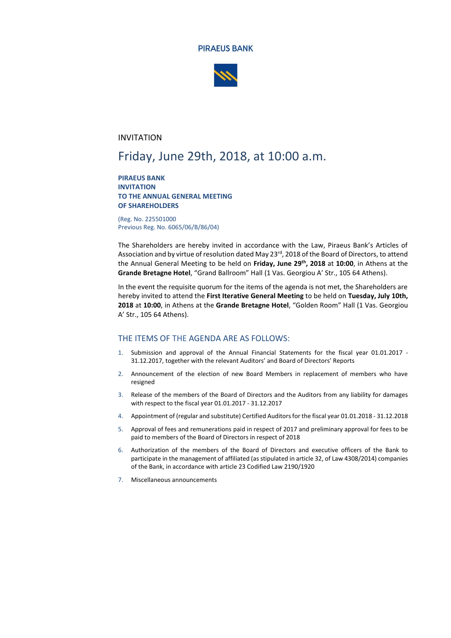



## INVITATION

# Friday, June 29th, 2018, at 10:00 a.m.

#### **PIRAEUS BANK INVITATION TO THE ANNUAL GENERAL MEETING OF SHAREHOLDERS**

(Reg. No. 225501000 Previous Reg. No. 6065/06/Β/86/04)

The Shareholders are hereby invited in accordance with the Law, Piraeus Bank's Articles of Association and by virtue of resolution dated May 23<sup>rd</sup>, 2018 of the Board of Directors, to attend the Annual General Meeting to be held on **Friday, June 29 th , 2018** at **10:00**, in Athens at the **Grande Bretagne Hotel**, "Grand Ballroom" Hall (1 Vas. Georgiou A' Str., 105 64 Athens).

In the event the requisite quorum for the items of the agenda is not met, the Shareholders are hereby invited to attend the **First Iterative General Meeting** to be held on **Tuesday, July 10th, 2018** at **10:00**, in Athens at the **Grande Bretagne Hotel**, "Golden Room" Hall (1 Vas. Georgiou A' Str., 105 64 Athens).

#### THE ITEMS OF THE AGENDA ARE AS FOLLOWS:

- 1. Submission and approval of the Annual Financial Statements for the fiscal year 01.01.2017 31.12.2017, together with the relevant Auditors' and Board of Directors' Reports
- 2. Announcement of the election of new Board Members in replacement of members who have resigned
- 3. Release of the members of the Board of Directors and the Auditors from any liability for damages with respect to the fiscal year 01.01.2017 - 31.12.2017
- 4. Appointment of (regular and substitute) Certified Auditors for the fiscal year 01.01.2018 31.12.2018
- 5. Approval of fees and remunerations paid in respect of 2017 and preliminary approval for fees to be paid to members of the Board of Directors in respect of 2018
- 6. Authorization of the members of the Board of Directors and executive officers of the Bank to participate in the management of affiliated (as stipulated in article 32, of Law 4308/2014) companies of the Bank, in accordance with article 23 Codified Law 2190/1920
- 7. Miscellaneous announcements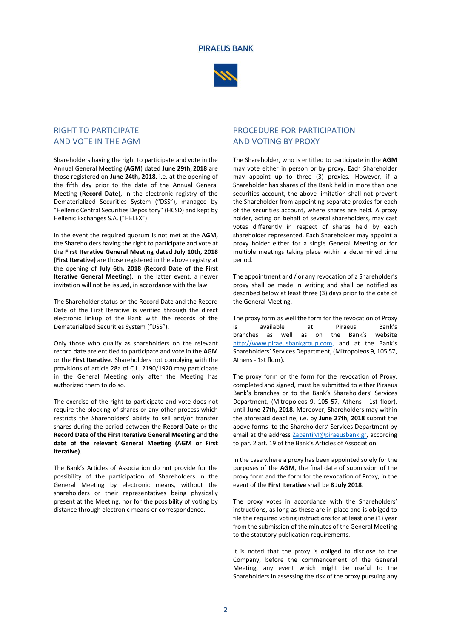



## RIGHT TO PARTICIPATE AND VOTE IN THE AGM

Shareholders having the right to participate and vote in the Annual General Meeting (**AGM**) dated **June 29th, 2018** are those registered on **June 24th, 2018**, i.e. at the opening of the fifth day prior to the date of the Annual General Meeting (**Record Date**), in the electronic registry of the Dematerialized Securities System ("DSS"), managed by "Hellenic Central Securities Depository" (HCSD) and kept by Hellenic Exchanges S.A. ("HELEX").

In the event the required quorum is not met at the **AGM,** the Shareholders having the right to participate and vote at the **First Iterative General Meeting dated July 10th, 2018 (First Iterative)** are those registered in the above registry at the opening of **July 6th, 2018** (**Record Date of the First Iterative General Meeting**). In the latter event, a newer invitation will not be issued, in accordance with the law.

The Shareholder status on the Record Date and the Record Date of the First Iterative is verified through the direct electronic linkup of the Bank with the records of the Dematerialized Securities System ("DSS").

Only those who qualify as shareholders on the relevant record date are entitled to participate and vote in the **AGM** or the **First Iterative**. Shareholders not complying with the provisions of article 28a of C.L. 2190/1920 may participate in the General Meeting only after the Meeting has authorized them to do so.

The exercise of the right to participate and vote does not require the blocking of shares or any other process which restricts the Shareholders' ability to sell and/or transfer shares during the period between the **Record Date** or the **Record Date of the First Iterative General Meeting** and **the date of the relevant General Meeting (AGM or First Iterative)**.

The Bank's Articles of Association do not provide for the possibility of the participation of Shareholders in the General Meeting by electronic means, without the shareholders or their representatives being physically present at the Meeting, nor for the possibility of voting by distance through electronic means or correspondence.

# PROCEDURE FOR PARTICIPATION AND VOTING BY PROXY

The Shareholder, who is entitled to participate in the **AGM** may vote either in person or by proxy. Each Shareholder may appoint up to three (3) proxies. However, if a Shareholder has shares of the Bank held in more than one securities account, the above limitation shall not prevent the Shareholder from appointing separate proxies for each of the securities account, where shares are held. A proxy holder, acting on behalf of several shareholders, may cast votes differently in respect of shares held by each shareholder represented. Each Shareholder may appoint a proxy holder either for a single General Meeting or for multiple meetings taking place within a determined time period.

The appointment and / or any revocation of a Shareholder's proxy shall be made in writing and shall be notified as described below at least three (3) days prior to the date of the General Meeting.

The proxy form as well the form for the revocation of Proxy is available at Piraeus Bank's branches as well as on the Bank's website http://www.piraeusbankgroup.com, and at the Bank's Shareholders' Services Department, (Mitropoleos 9, 105 57, Athens - 1st floor).

The proxy form or the form for the revocation of Proxy, completed and signed, must be submitted to either Piraeus Bank's branches or to the Bank's Shareholders' Services Department, (Mitropoleos 9, 105 57, Athens - 1st floor), until **June 27th, 2018**. Moreover, Shareholders may within the aforesaid deadline, i.e. by **June 27th, 2018** submit the above forms to the Shareholders' Services Department by email at the address **ZapantiM@piraeusbank.gr**, according to par. 2 art. 19 of the Bank's Articles of Association.

In the case where a proxy has been appointed solely for the purposes of the **AGM**, the final date of submission of the proxy form and the form for the revocation of Proxy, in the event of the **First Iterative** shall be **8 July 2018**.

The proxy votes in accordance with the Shareholders' instructions, as long as these are in place and is obliged to file the required voting instructions for at least one (1) year from the submission of the minutes of the General Meeting to the statutory publication requirements.

It is noted that the proxy is obliged to disclose to the Company, before the commencement of the General Meeting, any event which might be useful to the Shareholders in assessing the risk of the proxy pursuing any